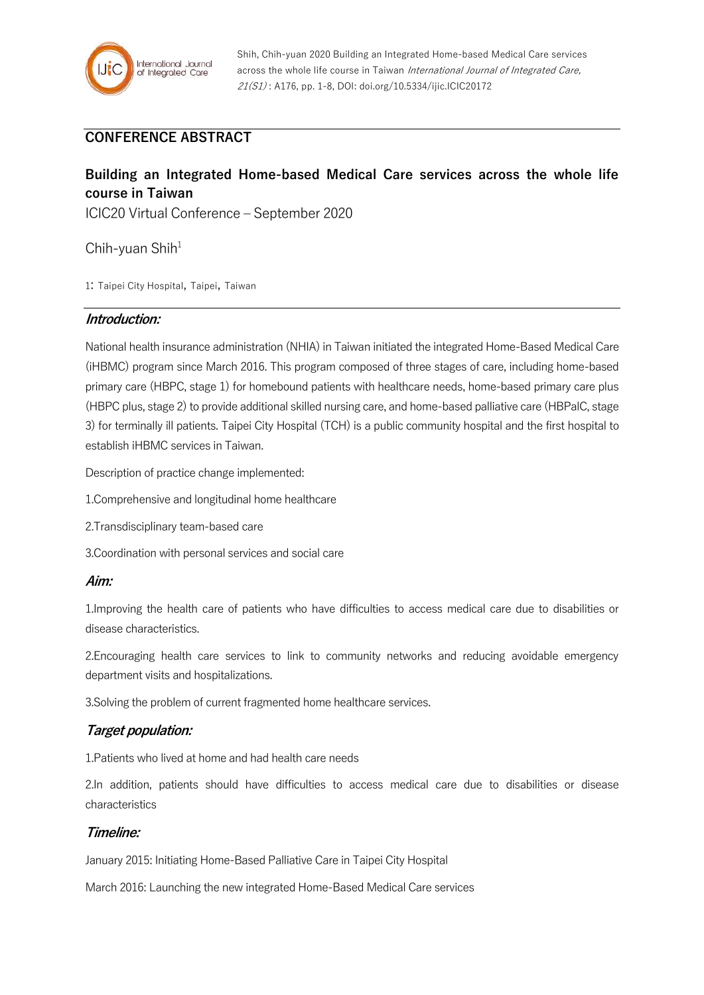

Shih, Chih-yuan 2020 Building an Integrated Home-based Medical Care services across the whole life course in Taiwan International Journal of Integrated Care, 21(S1) : A176, pp. 1-8, DOI: doi.org/10.5334/ijic.ICIC20172

# **CONFERENCE ABSTRACT**

# **Building an Integrated Home-based Medical Care services across the whole life course in Taiwan**

ICIC20 Virtual Conference – September 2020

Chih-yuan Shih $1$ 

1: Taipei City Hospital, Taipei, Taiwan

#### **Introduction:**

National health insurance administration (NHIA) in Taiwan initiated the integrated Home-Based Medical Care (iHBMC) program since March 2016. This program composed of three stages of care, including home-based primary care (HBPC, stage 1) for homebound patients with healthcare needs, home-based primary care plus (HBPC plus, stage 2) to provide additional skilled nursing care, and home-based palliative care (HBPalC, stage 3) for terminally ill patients. Taipei City Hospital (TCH) is a public community hospital and the first hospital to establish iHBMC services in Taiwan.

Description of practice change implemented:

- 1.Comprehensive and longitudinal home healthcare
- 2.Transdisciplinary team-based care
- 3.Coordination with personal services and social care

#### **Aim:**

1.Improving the health care of patients who have difficulties to access medical care due to disabilities or disease characteristics.

2.Encouraging health care services to link to community networks and reducing avoidable emergency department visits and hospitalizations.

3.Solving the problem of current fragmented home healthcare services.

## **Target population:**

1.Patients who lived at home and had health care needs

2.In addition, patients should have difficulties to access medical care due to disabilities or disease characteristics

#### **Timeline:**

January 2015: Initiating Home-Based Palliative Care in Taipei City Hospital

March 2016: Launching the new integrated Home-Based Medical Care services